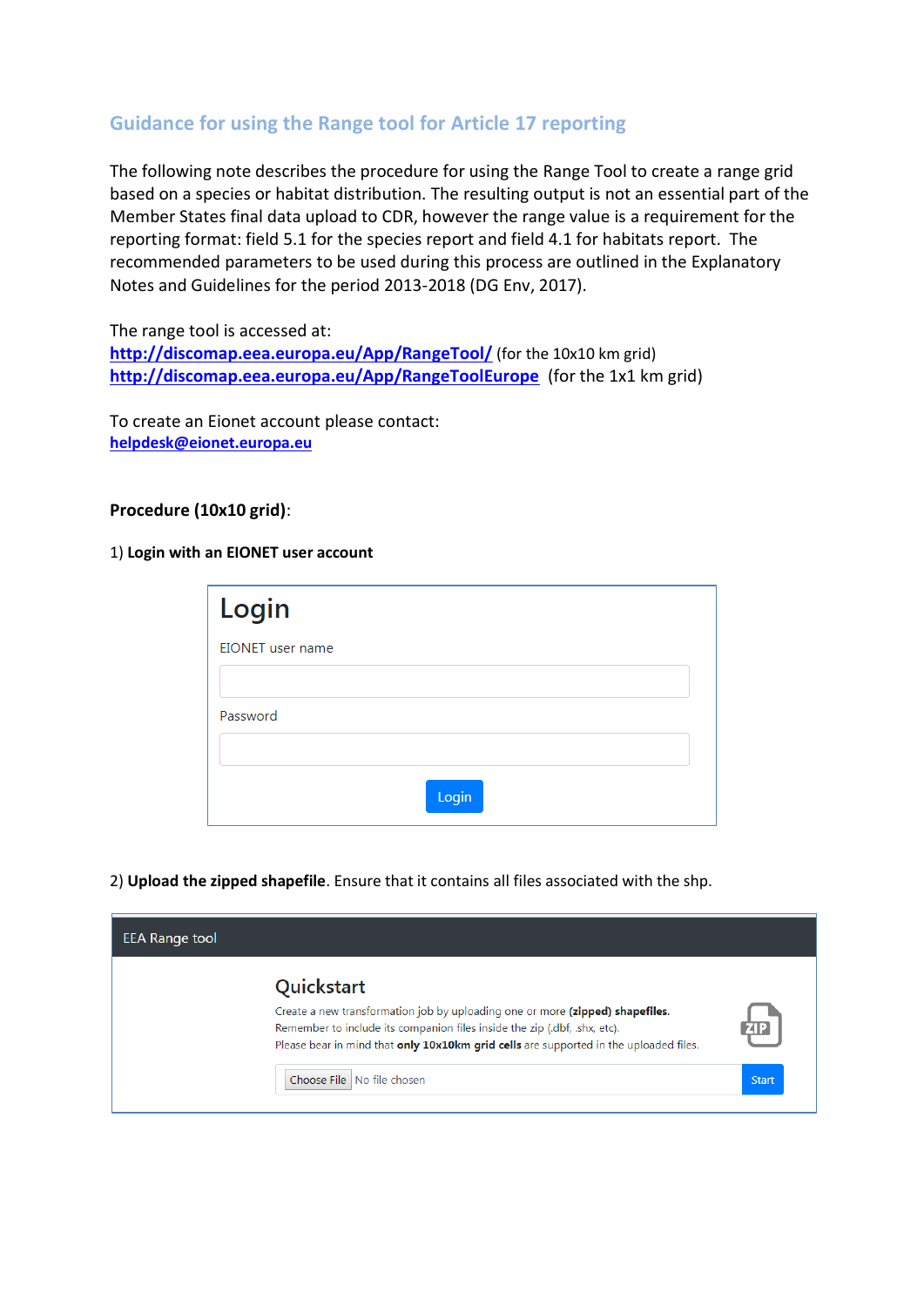## **Guidance for using the Range tool for Article 17 reporting**

The following note describes the procedure for using the Range Tool to create a range grid based on a species or habitat distribution. The resulting output is not an essential part of the Member States final data upload to CDR, however the range value is a requirement for the reporting format: field 5.1 for the species report and field 4.1 for habitats report. The recommended parameters to be used during this process are outlined in the Explanatory Notes and Guidelines for the period 2013-2018 (DG Env, 2017).

The range tool is accessed at: <http://discomap.eea.europa.eu/App/RangeTool/> (for the 10x10 km grid) **<http://discomap.eea.europa.eu/App/RangeToolEurope>** (for the 1x1 km grid)

To create an Eionet account please contact: **helpdesk@eionet.europa.eu**

## **Procedure (10x10 grid)**:

1) **Login with an EIONET user account**

| Login                   |       |
|-------------------------|-------|
| <b>EIONET</b> user name |       |
|                         |       |
| Password                |       |
|                         |       |
|                         | Login |

2) **Upload the zipped shapefile**. Ensure that it contains all files associated with the shp.

| <b>EEA Range tool</b> |                                                                                                                                                                                                                                                                                                 |                            |
|-----------------------|-------------------------------------------------------------------------------------------------------------------------------------------------------------------------------------------------------------------------------------------------------------------------------------------------|----------------------------|
|                       | Quickstart<br>Create a new transformation job by uploading one or more (zipped) shapefiles.<br>Remember to include its companion files inside the zip (.dbf, .shx, etc).<br>Please bear in mind that only 10x10km grid cells are supported in the uploaded files.<br>Choose File No file chosen | <b>ZIP</b><br><b>Start</b> |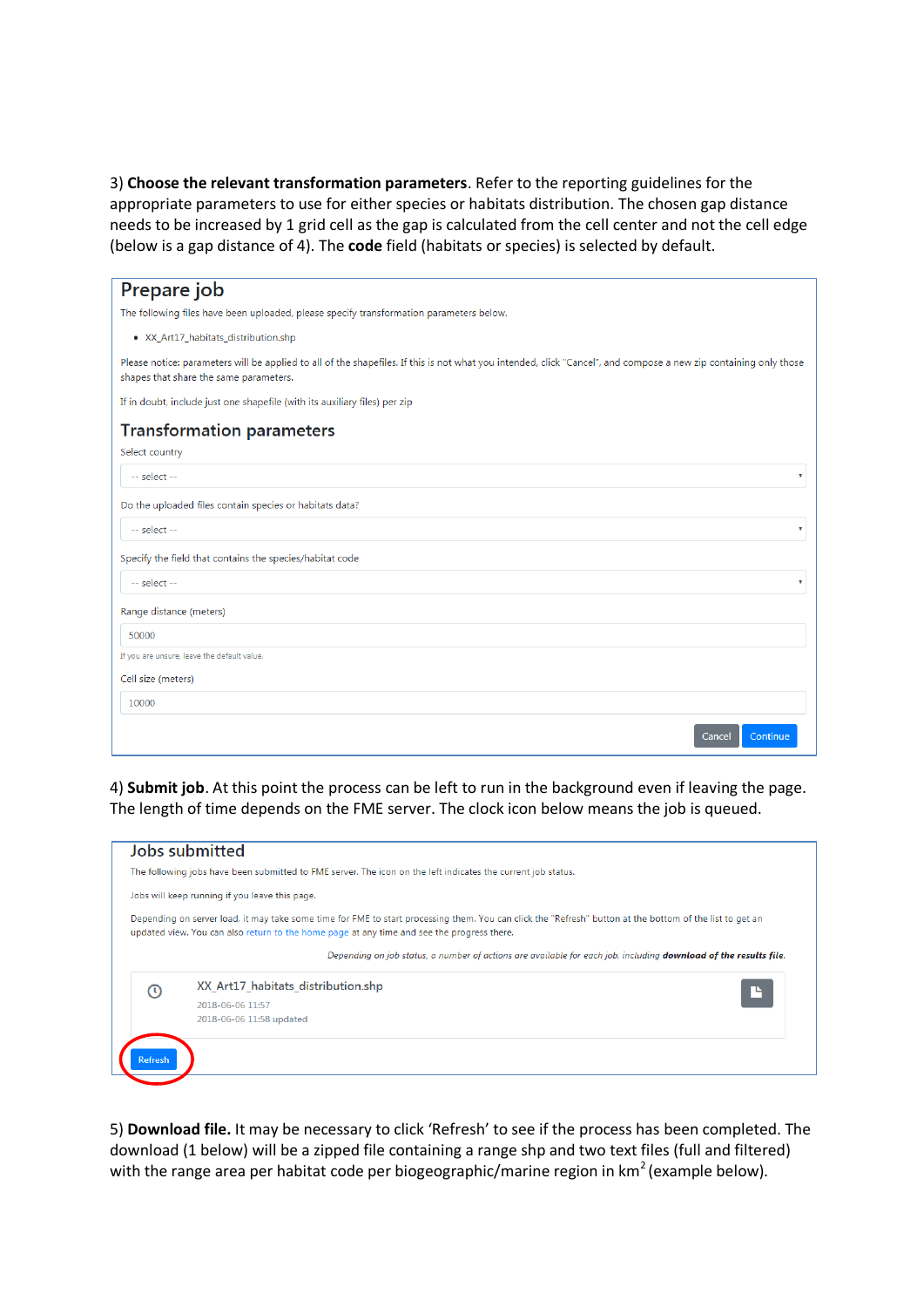3) **Choose the relevant transformation parameters**. Refer to the reporting guidelines for the appropriate parameters to use for either species or habitats distribution. The chosen gap distance needs to be increased by 1 grid cell as the gap is calculated from the cell center and not the cell edge (below is a gap distance of 4). The **code** field (habitats or species) is selected by default.

| Prepare job                                                                                                                                                                                                 |
|-------------------------------------------------------------------------------------------------------------------------------------------------------------------------------------------------------------|
| The following files have been uploaded, please specify transformation parameters below.                                                                                                                     |
| · XX_Art17_habitats_distribution.shp                                                                                                                                                                        |
| Please notice: parameters will be applied to all of the shapefiles. If this is not what you intended, click "Cancel", and compose a new zip containing only those<br>shapes that share the same parameters. |
| If in doubt, include just one shapefile (with its auxiliary files) per zip                                                                                                                                  |
| <b>Transformation parameters</b>                                                                                                                                                                            |
| Select country                                                                                                                                                                                              |
| $-$ select $-$<br>$\overline{\mathbf{v}}$                                                                                                                                                                   |
| Do the uploaded files contain species or habitats data?                                                                                                                                                     |
| -- select --<br>$\boldsymbol{\mathrm{v}}$                                                                                                                                                                   |
| Specify the field that contains the species/habitat code                                                                                                                                                    |
| -- select --<br>v                                                                                                                                                                                           |
| Range distance (meters)                                                                                                                                                                                     |
| 50000                                                                                                                                                                                                       |
| If you are unsure, leave the default value.                                                                                                                                                                 |
| Cell size (meters)                                                                                                                                                                                          |
| 10000                                                                                                                                                                                                       |
| Continue<br>Cancel                                                                                                                                                                                          |

4) **Submit job**. At this point the process can be left to run in the background even if leaving the page. The length of time depends on the FME server. The clock icon below means the job is queued.

|   | The following jobs have been submitted to FME server. The icon on the left indicates the current job status.                                                                                                                                           |  |  |  |  |  |  |  |  |
|---|--------------------------------------------------------------------------------------------------------------------------------------------------------------------------------------------------------------------------------------------------------|--|--|--|--|--|--|--|--|
|   | Jobs will keep running if you leave this page.                                                                                                                                                                                                         |  |  |  |  |  |  |  |  |
|   | Depending on server load, it may take some time for FME to start processing them. You can click the "Refresh" button at the bottom of the list to get an<br>updated view. You can also return to the home page at any time and see the progress there. |  |  |  |  |  |  |  |  |
|   | Depending on job status, a number of actions are available for each job, including <b>download of the results file</b> .                                                                                                                               |  |  |  |  |  |  |  |  |
|   | XX Art17 habitats distribution.shp                                                                                                                                                                                                                     |  |  |  |  |  |  |  |  |
|   |                                                                                                                                                                                                                                                        |  |  |  |  |  |  |  |  |
| ര | 2018-06-06 11:57                                                                                                                                                                                                                                       |  |  |  |  |  |  |  |  |
|   | 2018-06-06 11:58 updated                                                                                                                                                                                                                               |  |  |  |  |  |  |  |  |

5) **Download file.** It may be necessary to click 'Refresh' to see if the process has been completed. The download (1 below) will be a zipped file containing a range shp and two text files (full and filtered) with the range area per habitat code per biogeographic/marine region in km<sup>2</sup> (example below).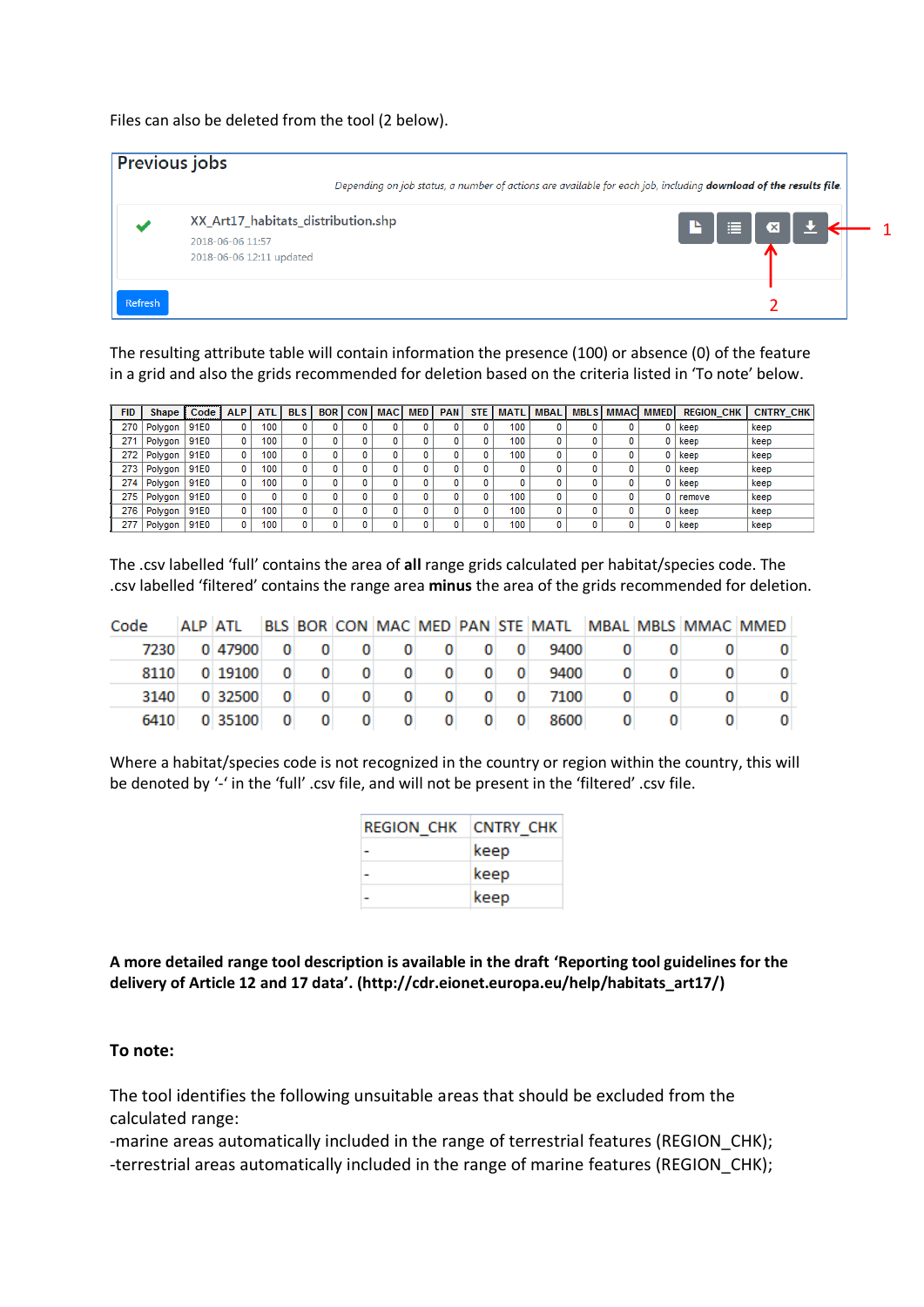Files can also be deleted from the tool (2 below).

| <b>Previous jobs</b> |                                                        |                                                                                                                          |  |  |  |  |  |
|----------------------|--------------------------------------------------------|--------------------------------------------------------------------------------------------------------------------------|--|--|--|--|--|
|                      |                                                        | Depending on job status, a number of actions are available for each job, including <b>download of the results file</b> . |  |  |  |  |  |
|                      | XX_Art17_habitats_distribution.shp<br>2018-06-06 11:57 | 這<br>P.<br>$\bullet$                                                                                                     |  |  |  |  |  |
|                      | 2018-06-06 12:11 updated                               |                                                                                                                          |  |  |  |  |  |
| Refresh              |                                                        |                                                                                                                          |  |  |  |  |  |

The resulting attribute table will contain information the presence (100) or absence (0) of the feature in a grid and also the grids recommended for deletion based on the criteria listed in 'To note' below.

| <b>FID</b> | Shape   | Code | <b>ALP</b> | <b>ATL</b> | <b>BLS</b> | <b>BOR</b> | <b>CON MAC</b> | <b>MED</b> | <b>PAN</b> | STE   MATL   MBAL |  | .   MBLS   MMAC   MMED | <b>REGION CHK</b> | <b>CNTRY CHK</b> |
|------------|---------|------|------------|------------|------------|------------|----------------|------------|------------|-------------------|--|------------------------|-------------------|------------------|
| 270        | Polygon | 91E0 | 0          | 100        |            |            | 0              |            |            | 100               |  |                        | keep              | keep             |
| 271        | Polygon | 91E0 | 0          | 100        |            |            | 0              |            |            | 100               |  |                        | keep              | keep             |
| 272        | Polygon | 91E0 | 0          | 100        |            |            | 0              |            |            | 100               |  |                        | keep              | keep             |
| 273        | Polygon | 91E0 | 0          | 100        | 0          |            | 0              |            |            |                   |  |                        | keep              | keep             |
| 274        | Polygon | 91E0 | 0          | 100        | 0          |            | 0              |            |            |                   |  |                        | keep              | keep             |
| 275        | Polygon | 91E0 | 0          |            |            |            | 0              |            |            | 100               |  |                        | remove            | keep             |
| 276        | Polygon | 91E0 | 0          | 100        | 0          |            | 0              |            |            | 100               |  |                        | keep              | keep             |
| 277        | Polygon | 91E0 | 0          | 100        |            |            |                |            |            | 100               |  |                        | keep              | keep             |

The .csv labelled 'full' contains the area of **all** range grids calculated per habitat/species code. The .csv labelled 'filtered' contains the range area **minus** the area of the grids recommended for deletion.

| Code |         |  |  |  | ALP ATL BLS BOR CON MAC MED PAN STE MATL MBAL MBLS MMAC MMED |                                                 |  |
|------|---------|--|--|--|--------------------------------------------------------------|-------------------------------------------------|--|
| 7230 |         |  |  |  | $0 47900 $ 0 0 0 0 0 0 0 9400 0 0                            |                                                 |  |
| 8110 |         |  |  |  | 0 19100 0 0 0 0 0 0 0 9400                                   | $\overline{0}$ 0                                |  |
| 3140 | 0 32500 |  |  |  | 0 0 0 0 0 0 0 7100                                           | $\overline{\mathbf{0}}$ $\overline{\mathbf{0}}$ |  |
| 6410 |         |  |  |  | 0 35100 0 0 0 0 0 0 0 8600                                   | $\overline{\mathbf{0}}$ $\overline{\mathbf{0}}$ |  |

Where a habitat/species code is not recognized in the country or region within the country, this will be denoted by '-' in the 'full' .csv file, and will not be present in the 'filtered' .csv file.

| REGION CHK CNTRY CHK |      |
|----------------------|------|
|                      | keep |
|                      | keep |
|                      | keep |

**A more detailed range tool description is available in the draft 'Reporting tool guidelines for the delivery of Article 12 and 17 data'. (http://cdr.eionet.europa.eu/help/habitats\_art17/)**

## **To note:**

The tool identifies the following unsuitable areas that should be excluded from the calculated range:

-marine areas automatically included in the range of terrestrial features (REGION\_CHK); -terrestrial areas automatically included in the range of marine features (REGION\_CHK);